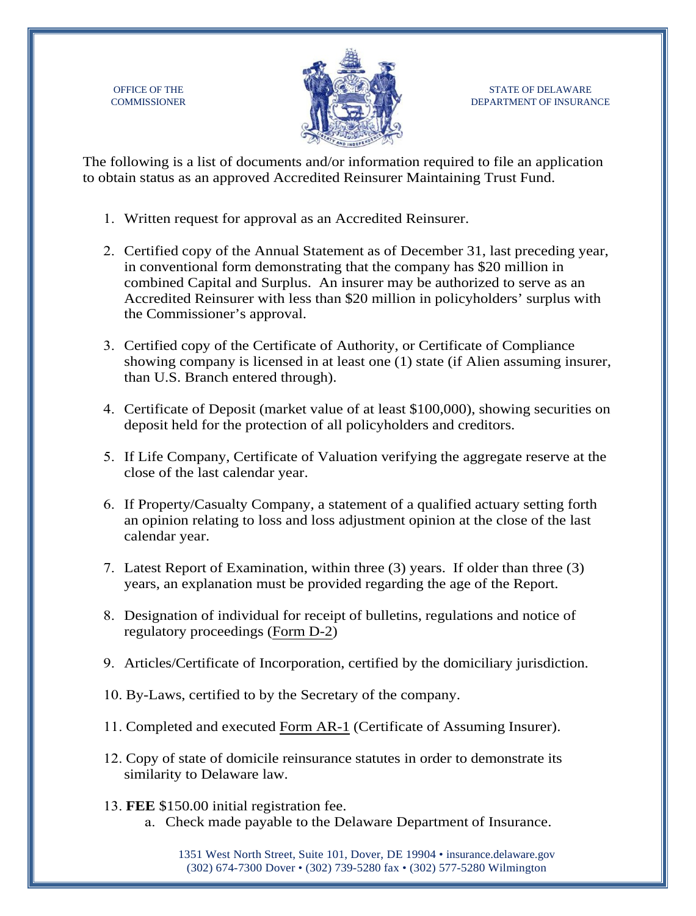OFFICE OF THE **COMMISSIONER** 



STATE OF DELAWARE DEPARTMENT OF INSURANCE

The following is a list of documents and/or information required to file an application to obtain status as an approved Accredited Reinsurer Maintaining Trust Fund.

- 1. Written request for approval as an Accredited Reinsurer.
- 2. Certified copy of the Annual Statement as of December 31, last preceding year, in conventional form demonstrating that the company has \$20 million in combined Capital and Surplus. An insurer may be authorized to serve as an Accredited Reinsurer with less than \$20 million in policyholders' surplus with the Commissioner's approval.
- 3. Certified copy of the Certificate of Authority, or Certificate of Compliance showing company is licensed in at least one (1) state (if Alien assuming insurer, than U.S. Branch entered through).
- 4. Certificate of Deposit (market value of at least \$100,000), showing securities on deposit held for the protection of all policyholders and creditors.
- 5. If Life Company, Certificate of Valuation verifying the aggregate reserve at the close of the last calendar year.
- 6. If Property/Casualty Company, a statement of a qualified actuary setting forth an opinion relating to loss and loss adjustment opinion at the close of the last calendar year.
- 7. Latest Report of Examination, within three (3) years. If older than three (3) years, an explanation must be provided regarding the age of the Report.
- 8. Designation of individual for receipt of bulletins, regulations and notice of regulatory proceedings (Form D-2)
- 9. Articles/Certificate of Incorporation, certified by the domiciliary jurisdiction.
- 10. By-Laws, certified to by the Secretary of the company.
- 11. Completed and executed [Form AR-1](https://insurance.delaware.gov/wp-content/uploads/sites/15/2020/03/FormAR1_03.30.20.pdf) (Certificate of Assuming Insurer).
- 12. Copy of state of domicile reinsurance statutes in order to demonstrate its similarity to Delaware law.
- 13. **FEE** \$150.00 initial registration fee. a. Check made payable to the Delaware Department of Insurance.

1351 West North Street, Suite 101, Dover, DE 19904 • [insurance.delaware.gov](http://www.insurance.delaware.gov/) (302) 674-7300 Dover • (302) 739-5280 fax • (302) 577-5280 Wilmington